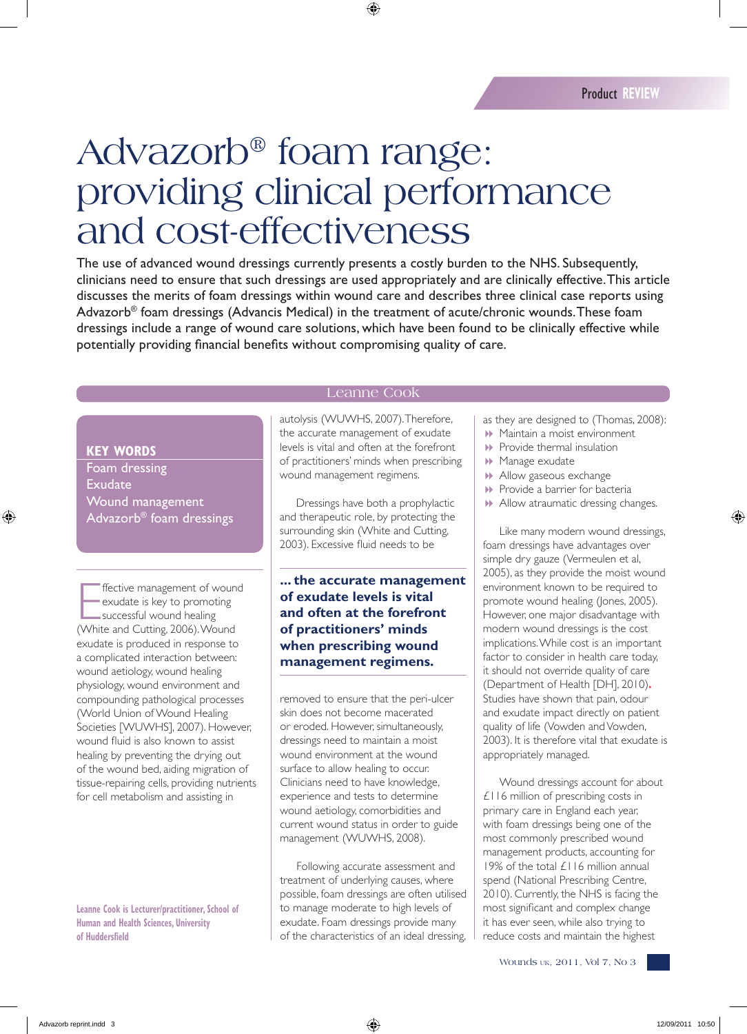# Advazorb® foam range: providing clinical performance and cost-effectiveness

The use of advanced wound dressings currently presents a costly burden to the NHS. Subsequently, clinicians need to ensure that such dressings are used appropriately and are clinically effective. This article discusses the merits of foam dressings within wound care and describes three clinical case reports using Advazorb® foam dressings (Advancis Medical) in the treatment of acute/chronic wounds. These foam dressings include a range of wound care solutions, which have been found to be clinically effective while potentially providing financial benefits without compromising quality of care.

## Leanne Cook

## **KEY WORDS**

Foam dressing **Exudate** Wound management Advazorb® foam dressings

Frective management of wound<br>
exudate is key to promoting<br>
successful wound healing<br>
(White and Cutting, 2006). Wound ffective management of wound exudate is key to promoting successful wound healing exudate is produced in response to a complicated interaction between: wound aetiology, wound healing physiology, wound environment and compounding pathological processes (World Union of Wound Healing Societies [WUWHS], 2007). However, wound fluid is also known to assist healing by preventing the drying out of the wound bed, aiding migration of tissue-repairing cells, providing nutrients for cell metabolism and assisting in

**Leanne Cook is Lecturer/practitioner, School of Human and Health Sciences, University of Huddersfield**

autolysis (WUWHS, 2007). Therefore, the accurate management of exudate levels is vital and often at the forefront of practitioners' minds when prescribing wound management regimens.

Dressings have both a prophylactic and therapeutic role, by protecting the surrounding skin (White and Cutting, 2003). Excessive fluid needs to be

# **... the accurate management of exudate levels is vital and often at the forefront of practitioners' minds when prescribing wound management regimens.**

removed to ensure that the peri-ulcer skin does not become macerated or eroded. However, simultaneously, dressings need to maintain a moist wound environment at the wound surface to allow healing to occur. Clinicians need to have knowledge, experience and tests to determine wound aetiology, comorbidities and current wound status in order to guide management (WUWHS, 2008).

Following accurate assessment and treatment of underlying causes, where possible, foam dressings are often utilised to manage moderate to high levels of exudate. Foam dressings provide many of the characteristics of an ideal dressing,

as they are designed to (Thomas, 2008):

- 8 Maintain a moist environment
- $\blacktriangleright$  Provide thermal insulation
- **1** Manage exudate
- Allow gaseous exchange
- **1** Provide a barrier for bacteria
- Allow atraumatic dressing changes.

Like many modern wound dressings, foam dressings have advantages over simple dry gauze (Vermeulen et al, 2005), as they provide the moist wound environment known to be required to promote wound healing (Jones, 2005). However, one major disadvantage with modern wound dressings is the cost implications. While cost is an important factor to consider in health care today, it should not override quality of care (Department of Health [DH], 2010)**.**  Studies have shown that pain, odour and exudate impact directly on patient quality of life (Vowden and Vowden, 2003). It is therefore vital that exudate is appropriately managed.

Wound dressings account for about £116 million of prescribing costs in primary care in England each year, with foam dressings being one of the most commonly prescribed wound management products, accounting for 19% of the total £116 million annual spend (National Prescribing Centre, 2010). Currently, the NHS is facing the most significant and complex change it has ever seen, while also trying to reduce costs and maintain the highest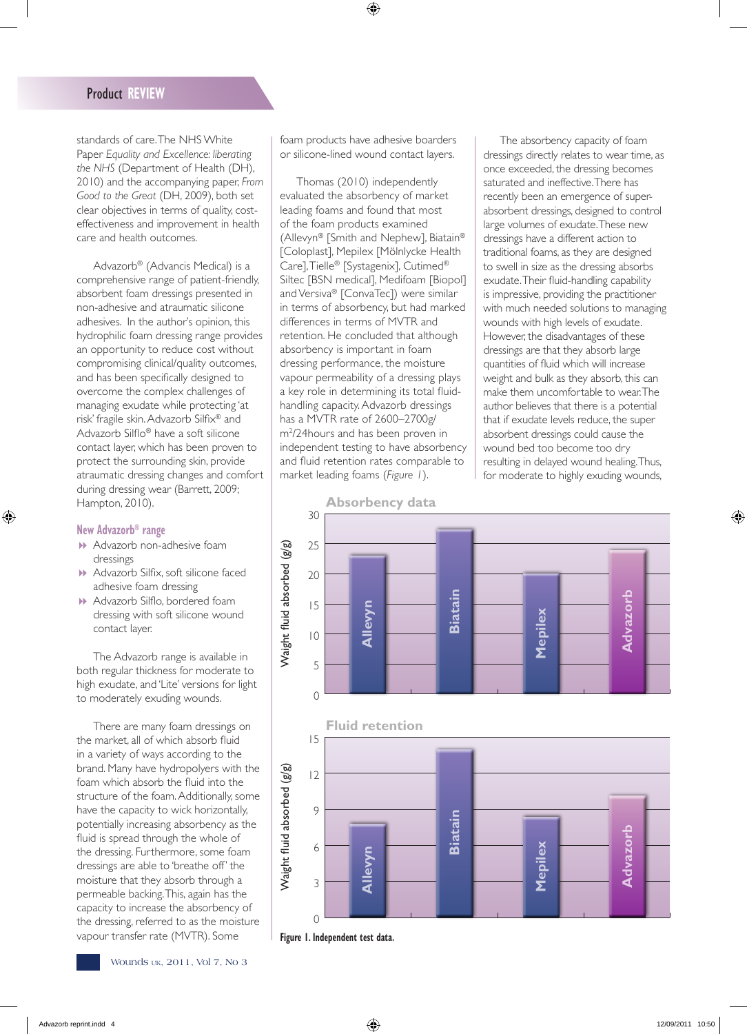# Product **REVIEW**

standards of care. The NHS White Paper *Equality and Excellence: liberating the NHS* (Department of Health (DH), 2010) and the accompanying paper, *From Good to the Great* (DH, 2009), both set clear objectives in terms of quality, costeffectiveness and improvement in health care and health outcomes.

Advazorb® (Advancis Medical) is a comprehensive range of patient-friendly, absorbent foam dressings presented in non-adhesive and atraumatic silicone adhesives. In the author's opinion, this hydrophilic foam dressing range provides an opportunity to reduce cost without compromising clinical/quality outcomes, and has been specifically designed to overcome the complex challenges of managing exudate while protecting 'at risk' fragile skin. Advazorb Silfix® and Advazorb Silflo® have a soft silicone contact layer, which has been proven to protect the surrounding skin, provide atraumatic dressing changes and comfort during dressing wear (Barrett, 2009; Hampton, 2010).

### **New Advazorb® range**

- Advazorb non-adhesive foam dressings
- **8 Advazorb Silfix, soft silicone faced** adhesive foam dressing
- $\blacktriangleright$  Advazorb Silflo, bordered foam dressing with soft silicone wound contact layer.

The Advazorb range is available in both regular thickness for moderate to high exudate, and 'Lite' versions for light to moderately exuding wounds.

There are many foam dressings on the market, all of which absorb fluid in a variety of ways according to the brand. Many have hydropolyers with the foam which absorb the fluid into the structure of the foam. Additionally, some have the capacity to wick horizontally, potentially increasing absorbency as the fluid is spread through the whole of the dressing. Furthermore, some foam dressings are able to 'breathe off' the moisture that they absorb through a permeable backing. This, again has the capacity to increase the absorbency of the dressing, referred to as the moisture vapour transfer rate (MVTR). Some

foam products have adhesive boarders or silicone-lined wound contact layers.

Thomas (2010) independently evaluated the absorbency of market leading foams and found that most of the foam products examined (Allevyn® [Smith and Nephew], Biatain® [Coloplast], Mepilex [Mölnlycke Health Care], Tielle® [Systagenix], Cutimed® Siltec [BSN medical], Medifoam [Biopol] and Versiva® [ConvaTec]) were similar in terms of absorbency, but had marked differences in terms of MVTR and retention. He concluded that although absorbency is important in foam dressing performance, the moisture vapour permeability of a dressing plays a key role in determining its total fluidhandling capacity. Advazorb dressings has a MVTR rate of 2600–2700g/ m<sup>2</sup>/24 hours and has been proven in independent testing to have absorbency and fluid retention rates comparable to market leading foams (*Figure 1*).

The absorbency capacity of foam dressings directly relates to wear time, as once exceeded, the dressing becomes saturated and ineffective. There has recently been an emergence of superabsorbent dressings, designed to control large volumes of exudate. These new dressings have a different action to traditional foams, as they are designed to swell in size as the dressing absorbs exudate. Their fluid-handling capability is impressive, providing the practitioner with much needed solutions to managing wounds with high levels of exudate. However, the disadvantages of these dressings are that they absorb large quantities of fluid which will increase weight and bulk as they absorb, this can make them uncomfortable to wear. The author believes that there is a potential that if exudate levels reduce, the super absorbent dressings could cause the wound bed too become too dry resulting in delayed wound healing. Thus, for moderate to highly exuding wounds,



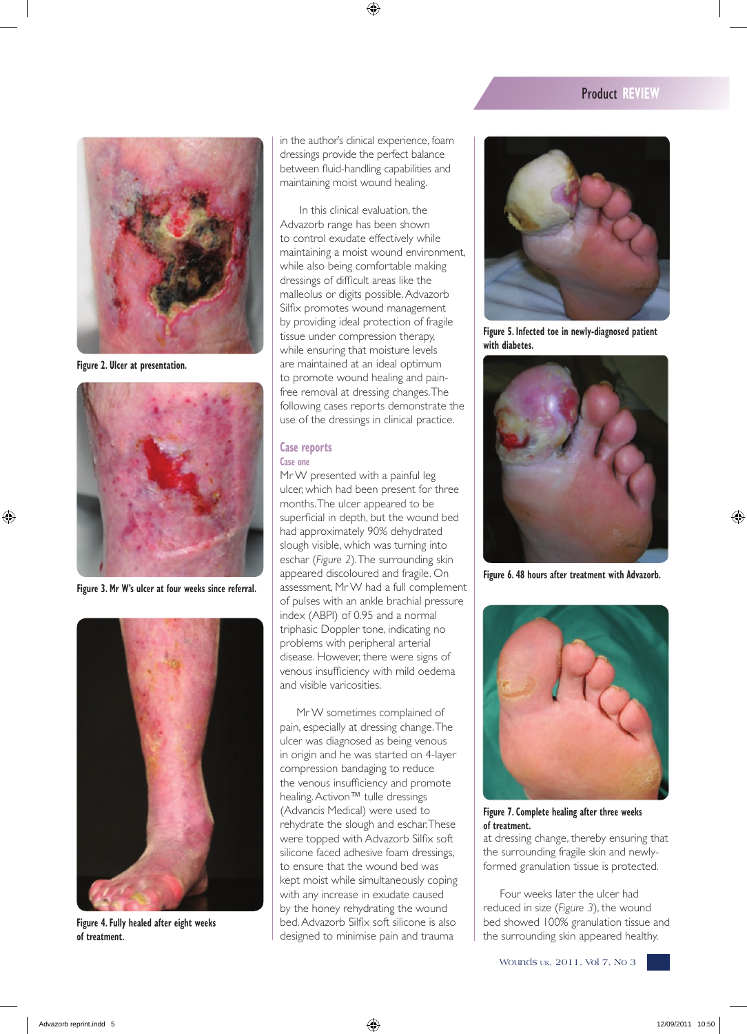# Product **REVIEW**



**Figure 2. Ulcer at presentation.**



**Figure 3. Mr W's ulcer at four weeks since referral.**



**Figure 4. Fully healed after eight weeks of treatment.**

in the author's clinical experience, foam dressings provide the perfect balance between fluid-handling capabilities and maintaining moist wound healing.

 In this clinical evaluation, the Advazorb range has been shown to control exudate effectively while maintaining a moist wound environment, while also being comfortable making dressings of difficult areas like the malleolus or digits possible. Advazorb Silfix promotes wound management by providing ideal protection of fragile tissue under compression therapy, while ensuring that moisture levels are maintained at an ideal optimum to promote wound healing and painfree removal at dressing changes. The following cases reports demonstrate the use of the dressings in clinical practice.

#### **Case reports Case one**

Mr W presented with a painful leg ulcer, which had been present for three months. The ulcer appeared to be superficial in depth, but the wound bed had approximately 90% dehydrated slough visible, which was turning into eschar (*Figure 2*). The surrounding skin appeared discoloured and fragile. On assessment, Mr W had a full complement of pulses with an ankle brachial pressure index (ABPI) of 0.95 and a normal triphasic Doppler tone, indicating no problems with peripheral arterial disease. However, there were signs of venous insufficiency with mild oedema and visible varicosities.

Mr W sometimes complained of pain, especially at dressing change. The ulcer was diagnosed as being venous in origin and he was started on 4-layer compression bandaging to reduce the venous insufficiency and promote healing. Activon™ tulle dressings (Advancis Medical) were used to rehydrate the slough and eschar. These were topped with Advazorb Silfix soft silicone faced adhesive foam dressings, to ensure that the wound bed was kept moist while simultaneously coping with any increase in exudate caused by the honey rehydrating the wound bed. Advazorb Silfix soft silicone is also designed to minimise pain and trauma



**Figure 5. Infected toe in newly-diagnosed patient with diabetes.**



**Figure 6. 48 hours after treatment with Advazorb.**



**Figure 7. Complete healing after three weeks of treatment.**

at dressing change, thereby ensuring that the surrounding fragile skin and newlyformed granulation tissue is protected.

Four weeks later the ulcer had reduced in size (*Figure 3*), the wound bed showed 100% granulation tissue and the surrounding skin appeared healthy.